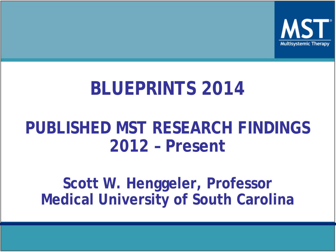

## **BLUEPRINTS 2014**

#### **PUBLISHED MST RESEARCH FINDINGS 2012 – Present**

**Scott W. Henggeler, Professor Medical University of South Carolina**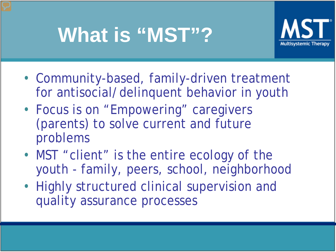# **What is "MST"?**



- Community-based, family-driven treatment for antisocial/delinquent behavior in youth
- Focus is on "Empowering" caregivers (parents) to solve current and future problems
- MST "client" is the entire ecology of the youth - family, peers, school, neighborhood
- Highly structured clinical supervision and quality assurance processes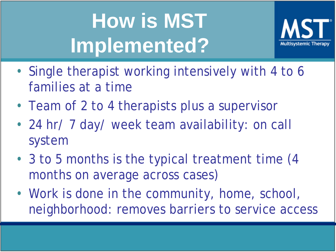# **How is MST Implemented?**



- Single therapist working intensively with 4 to 6 families at a time
- Team of 2 to 4 therapists plus a supervisor
- 24 hr/ 7 day/ week team availability: on call system
- 3 to 5 months is the typical treatment time (4) months on average across cases)
- Work is done in the community, home, school, neighborhood: removes barriers to service access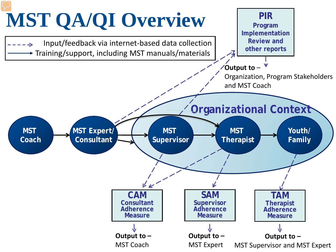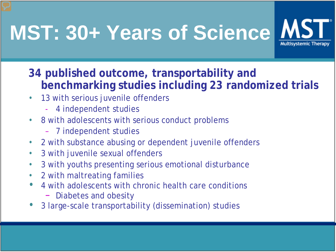# **MST: 30+ Years of Science**



#### **34 published outcome, transportability and benchmarking studies including 23 randomized trials**

- 13 with serious juvenile offenders
	- 4 independent studies
- 8 with adolescents with serious conduct problems
	- 7 independent studies
- 2 with substance abusing or dependent juvenile offenders
- 3 with juvenile sexual offenders
- 3 with youths presenting serious emotional disturbance
- 2 with maltreating families
- 4 with adolescents with chronic health care conditions
	- Diabetes and obesity
- 3 large-scale transportability (dissemination) studies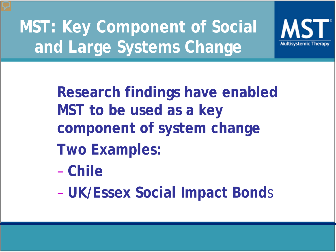**MST: Key Component of Social and Large Systems Change**



**Research findings have enabled MST to be used as a key component of system change Two Examples:**

- **Chile**
- **UK/Essex Social Impact Bond**s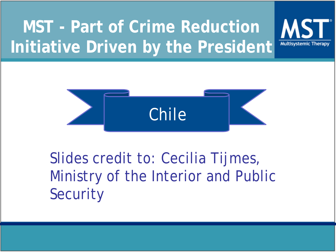## **MST - Part of Crime Reduction Initiative Driven by the President**





#### Slides credit to: Cecilia Tijmes, Ministry of the Interior and Public **Security**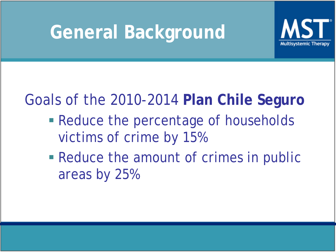## **General Background**



#### Goals of the 2010-2014 **Plan Chile Seguro**

- Reduce the percentage of households victims of crime by 15%
- **Reduce the amount of crimes in public** areas by 25%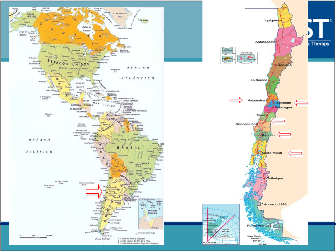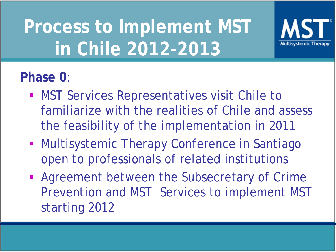# **Process to Implement MST in Chile 2012-2013**



#### **Phase 0**:

- **MST Services Representatives visit Chile to** familiarize with the realities of Chile and assess the feasibility of the implementation in 2011
- **Multisystemic Therapy Conference in Santiago** open to professionals of related institutions
- **Agreement between the Subsecretary of Crime** Prevention and MST Services to implement MST starting 2012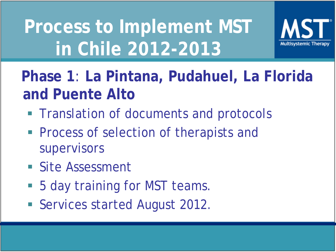# **Process to Implement MST in Chile 2012-2013**



#### **Phase 1**: **La Pintana, Pudahuel, La Florida and Puente Alto**

- **Translation of documents and protocols**
- **Process of selection of therapists and** supervisors
- **Site Assessment**
- 5 day training for MST teams.
- **Services started August 2012.**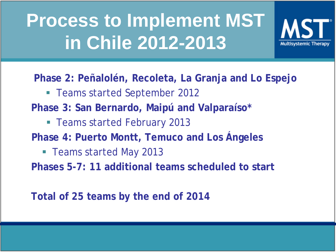# **Process to Implement MST in Chile 2012-2013**



**Phase 2: Peñalolén, Recoleta, La Granja and Lo Espejo**

Teams started September 2012

**Phase 3: San Bernardo, Maipú and Valparaíso\*** 

- Teams started February 2013
- **Phase 4: Puerto Montt, Temuco and Los Ángeles**
	- Teams started May 2013

**Phases 5-7: 11 additional teams scheduled to start**

**Total of 25 teams by the end of 2014**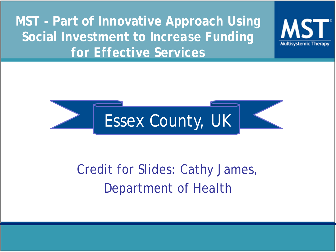**MST - Part of Innovative Approach Using Social Investment to** *Increase Funding for Effecti***ve Services** 



**Multisystemic Therapy** 

#### Credit for Slides: Cathy James, Department of Health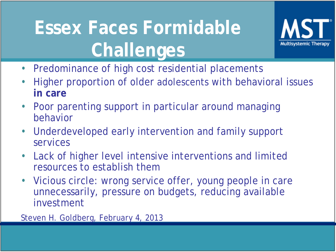# **Essex Faces Formidable Challenges**



- Predominance of high cost residential placements
- Higher proportion of older adolescents with behavioral issues **in care**
- Poor parenting support in particular around managing behavior
- Underdeveloped early intervention and family support services
- Lack of higher level intensive interventions and limited resources to establish them
- Vicious circle: wrong service offer, young people in care unnecessarily, pressure on budgets, reducing available investment

Steven H. Goldberg, February 4, 2013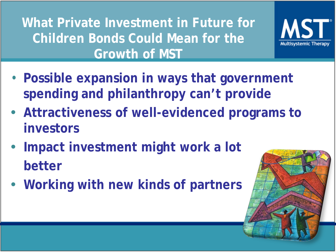**What Private Investment in Future for Children Bonds Could Mean for the Growth of MST**

- **Possible expansion in ways that government spending and philanthropy can't provide**
- **Attractiveness of well-evidenced programs to investors**
- **Impact investment might work a lot better**
- **Working with new kinds of partners**



**Multisystemic Th**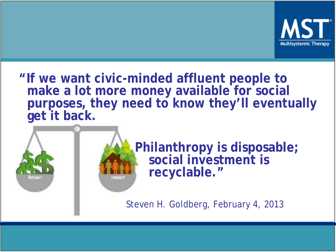

**"If we want civic-minded affluent people to make a lot more money available for social purposes, they need to know they'll eventually get it back.**



 **Philanthropy is disposable; social investment is recyclable."**

Steven H. Goldberg, February 4, 2013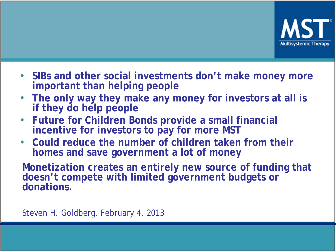

- **SIBs and other social investments don't make money more important than helping people**
- **The only way they make any money for investors at all is if they do help people**
- **Future for Children Bonds provide a small financial incentive for investors to pay for more MST**
- **Could reduce the number of children taken from their homes and save government a lot of money**

**Monetization creates an entirely new source of funding that doesn't compete with limited government budgets or donations.** 

Steven H. Goldberg, February 4, 2013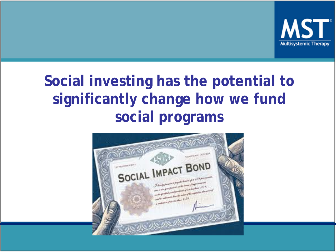

#### **Social investing has the potential to significantly change how we fund social programs**

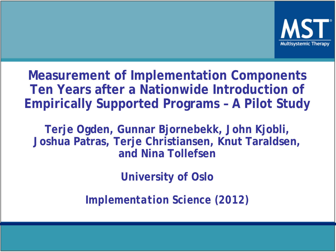

**Measurement of Implementation Components Ten Years after a Nationwide Introduction of Empirically Supported Programs – A Pilot Study**

**Terje Ogden, Gunnar Bjornebekk, John Kjobli, Joshua Patras, Terje Christiansen, Knut Taraldsen, and Nina Tollefsen**

**University of Oslo**

*Implementation Science (2012)*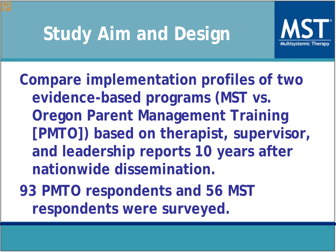## **Study Aim and Design**



**Compare implementation profiles of two evidence-based programs (MST vs. Oregon Parent Management Training [PMTO]) based on therapist, supervisor, and leadership reports 10 years after nationwide dissemination.**

**93 PMTO respondents and 56 MST respondents were surveyed.**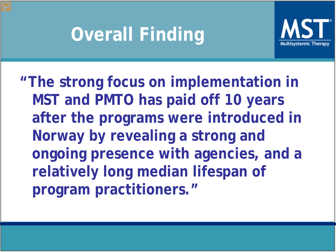# **Overall Finding**



**"The strong focus on implementation in MST and PMTO has paid off 10 years after the programs were introduced in Norway by revealing a strong and ongoing presence with agencies, and a relatively long median lifespan of program practitioners."**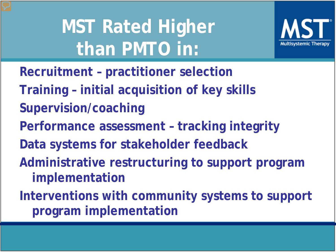**MST Rated Higher than PMTO in:**



**Recruitment – practitioner selection Training – initial acquisition of key skills Supervision/coaching Performance assessment – tracking integrity Data systems for stakeholder feedback Administrative restructuring to support program implementation Interventions with community systems to support program implementation**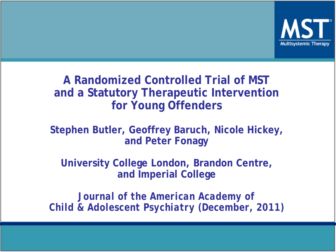

#### **A Randomized Controlled Trial of MST and a Statutory Therapeutic Intervention for Young Offenders**

#### **Stephen Butler, Geoffrey Baruch, Nicole Hickey, and Peter Fonagy**

**University College London, Brandon Centre, and Imperial College**

*Journal of the American Academy of Child & Adolescent Psychiatry (December, 2011)*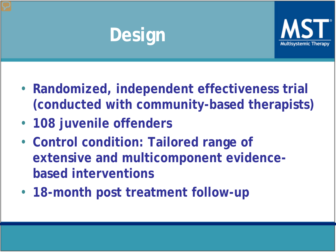# **Design**



- **Randomized, independent effectiveness trial (conducted with community-based therapists)**
- **108 juvenile offenders**
- **Control condition: Tailored range of extensive and multicomponent evidencebased interventions**
- **18-month post treatment follow-up**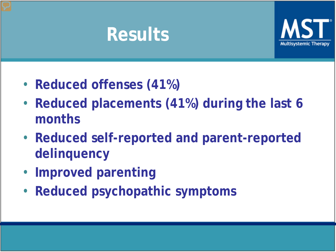## **Results**



- **Reduced offenses (41%)**
- **Reduced placements (41%) during the last 6 months**
- **Reduced self-reported and parent-reported delinquency**
- **Improved parenting**
- **Reduced psychopathic symptoms**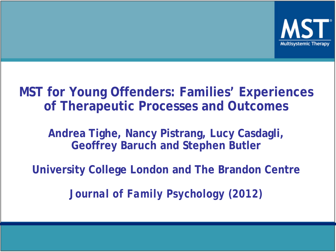

#### **MST for Young Offenders: Families' Experiences of Therapeutic Processes and Outcomes**

**Andrea Tighe, Nancy Pistrang, Lucy Casdagli, Geoffrey Baruch and Stephen Butler**

**University College London and The Brandon Centre**

*Journal of Family Psychology (2012)*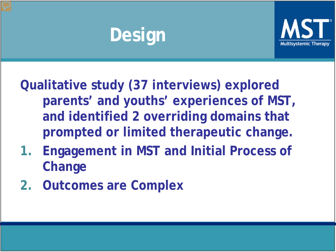# **Design**



**Qualitative study (37 interviews) explored parents' and youths' experiences of MST, and identified 2 overriding domains that prompted or limited therapeutic change.**

- **1. Engagement in MST and Initial Process of Change**
- **2. Outcomes are Complex**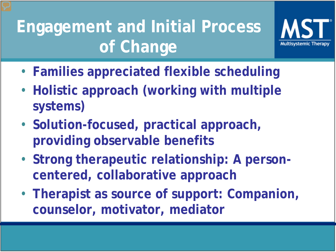## **Engagement and Initial Process of Change**



- **Families appreciated flexible scheduling**
- **Holistic approach (working with multiple systems)**
- **Solution-focused, practical approach, providing observable benefits**
- **Strong therapeutic relationship: A personcentered, collaborative approach**
- **Therapist as source of support: Companion, counselor, motivator, mediator**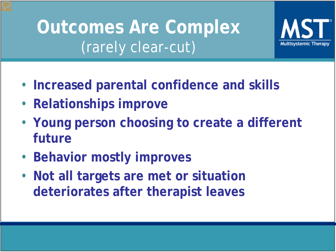## **Outcomes Are Complex**  (rarely clear-cut)



- **Relationships improve**
- **Young person choosing to create a different future**

Multisvstemic T

- **Behavior mostly improves**
- **Not all targets are met or situation deteriorates after therapist leaves**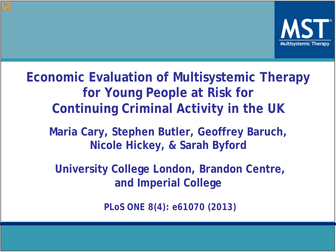

**Economic Evaluation of Multisystemic Therapy for Young People at Risk for Continuing Criminal Activity in the UK**

**Maria Cary, Stephen Butler, Geoffrey Baruch, Nicole Hickey, & Sarah Byford**

**University College London, Brandon Centre, and Imperial College**

*PLoS ONE 8(4): e61070 (2013)*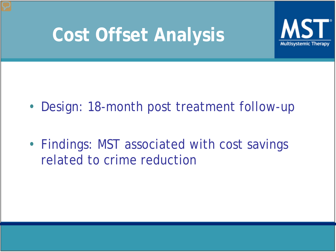## **Cost Offset Analysis**



- Design: 18-month post treatment follow-up
- Findings: MST associated with cost savings related to crime reduction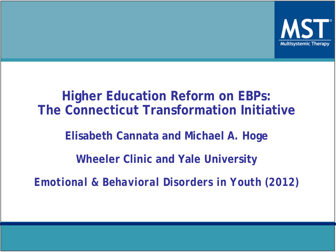

## **Higher Education Reform on EBPs: The Connecticut Transformation Initiative Elisabeth Cannata and Michael A. Hoge Wheeler Clinic and Yale University** *Emotional & Behavioral Disorders in Youth (2012)*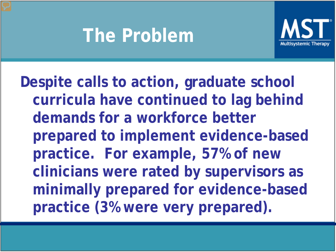## **The Problem**



**Despite calls to action, graduate school curricula have continued to lag behind demands for a workforce better prepared to implement evidence-based practice. For example, 57% of new clinicians were rated by supervisors as minimally prepared for evidence-based practice (3% were very prepared).**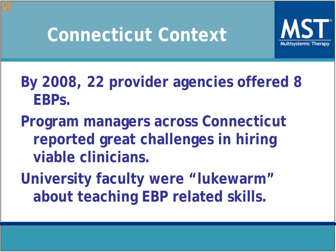## **Connecticut Context**



#### **By 2008, 22 provider agencies offered 8 EBPs.**

**Program managers across Connecticut reported great challenges in hiring viable clinicians.**

**University faculty were "lukewarm" about teaching EBP related skills.**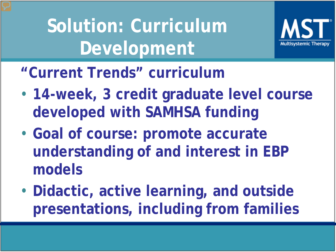**Solution: Curriculum Development**



**"Current Trends" curriculum**

- **14-week, 3 credit graduate level course developed with SAMHSA funding**
- **Goal of course: promote accurate understanding of and interest in EBP models**
- **Didactic, active learning, and outside presentations, including from families**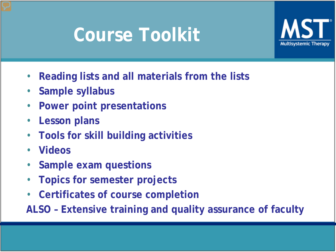## **Course Toolkit**



- **Reading lists and all materials from the lists**
- **Sample syllabus**
- **Power point presentations**
- **Lesson plans**
- **Tools for skill building activities**
- **Videos**
- **Sample exam questions**
- **Topics for semester projects**
- **Certificates of course completion**

**ALSO – Extensive training and quality assurance of faculty**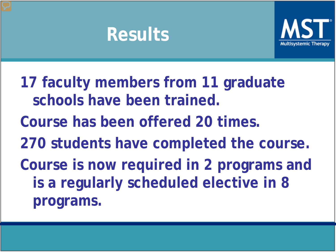### **Results**



**17 faculty members from 11 graduate schools have been trained. Course has been offered 20 times. 270 students have completed the course. Course is now required in 2 programs and is a regularly scheduled elective in 8 programs.**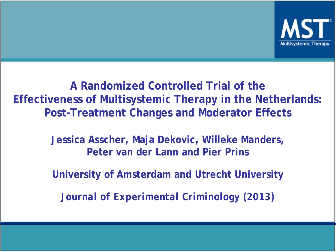

**A Randomized Controlled Trial of the Effectiveness of Multisystemic Therapy in the Netherlands: Post-Treatment Changes and Moderator Effects**

> **Jessica Asscher, Maja Dekovic, Willeke Manders, Peter van der Lann and Pier Prins**

> **University of Amsterdam and Utrecht University**

*Journal of Experimental Criminology (2013)*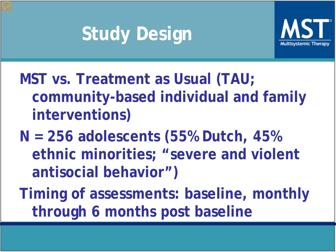# **Study Design**



**MST vs. Treatment as Usual (TAU; community-based individual and family interventions)**

**N = 256 adolescents (55% Dutch, 45% ethnic minorities; "severe and violent antisocial behavior")**

**Timing of assessments: baseline, monthly through 6 months post baseline**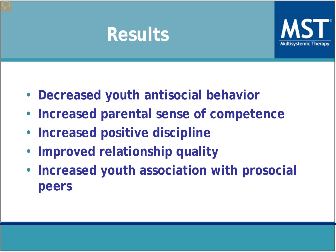### **Results**



- **Decreased youth antisocial behavior**
- **Increased parental sense of competence**
- **Increased positive discipline**
- **Improved relationship quality**
- **Increased youth association with prosocial peers**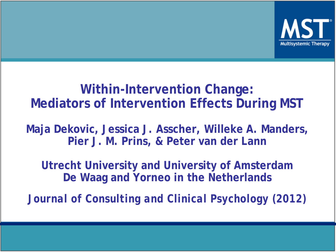

#### **Within-Intervention Change: Mediators of Intervention Effects During MST**

**Maja Dekovic, Jessica J. Asscher, Willeke A. Manders, Pier J. M. Prins, & Peter van der Lann**

**Utrecht University and University of Amsterdam De Waag and Yorneo in the Netherlands**

*Journal of Consulting and Clinical Psychology (2012)*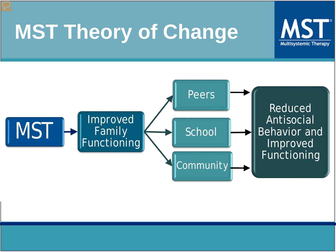# **MST Theory of Change**



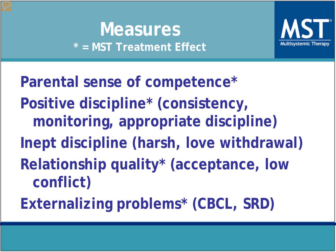#### **Measures \* = MST Treatment Effect**



**Parental sense of competence\* Positive discipline\* (consistency, monitoring, appropriate discipline) Inept discipline (harsh, love withdrawal) Relationship quality\* (acceptance, low conflict) Externalizing problems\* (CBCL, SRD)**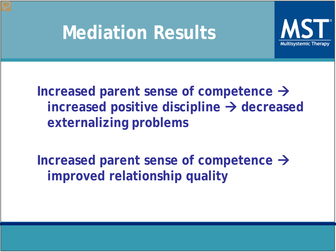### **Mediation Results**



**Increased parent sense of competence**   $i$  **increased positive discipline**  $\rightarrow$  **decreased externalizing problems**

**Increased parent sense of competence improved relationship quality**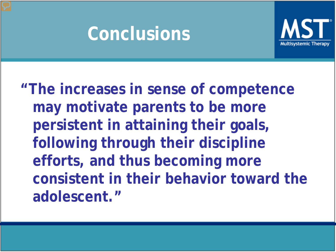### **Conclusions**



**"The increases in sense of competence may motivate parents to be more persistent in attaining their goals, following through their discipline efforts, and thus becoming more consistent in their behavior toward the adolescent."**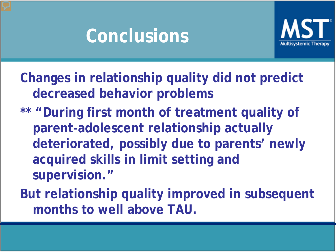### **Conclusions**



**Changes in relationship quality did not predict decreased behavior problems**

- **\*\* "During first month of treatment quality of parent-adolescent relationship actually deteriorated, possibly due to parents' newly acquired skills in limit setting and supervision."**
- **But relationship quality improved in subsequent months to well above TAU.**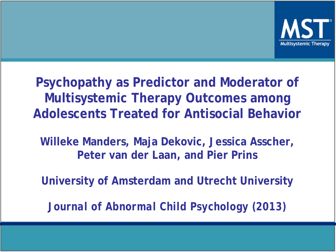

**Psychopathy as Predictor and Moderator of Multisystemic Therapy Outcomes among Adolescents Treated for Antisocial Behavior**

**Willeke Manders, Maja Dekovic, Jessica Asscher, Peter van der Laan, and Pier Prins**

**University of Amsterdam and Utrecht University**

*Journal of Abnormal Child Psychology (2013)*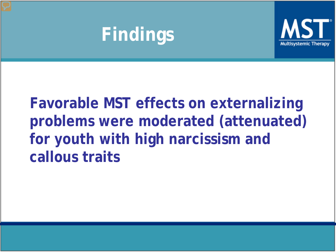### **Findings**



#### **Favorable MST effects on externalizing problems were moderated (attenuated) for youth with high narcissism and callous traits**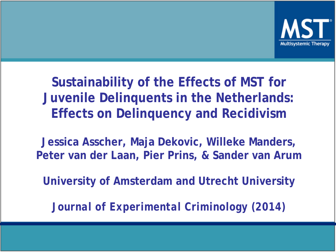

#### **Sustainability of the Effects of MST for Juvenile Delinquents in the Netherlands: Effects on Delinquency and Recidivism**

**Jessica Asscher, Maja Dekovic, Willeke Manders, Peter van der Laan, Pier Prins, & Sander van Arum**

**University of Amsterdam and Utrecht University**

*Journal of Experimental Criminology (2014)*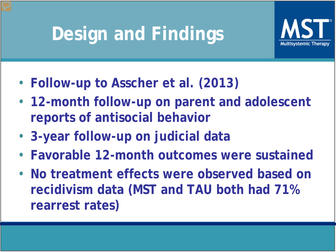# **Design and Findings**



- **Follow-up to Asscher et al. (2013)**
- **12-month follow-up on parent and adolescent reports of antisocial behavior**
- **3-year follow-up on judicial data**
- **Favorable 12-month outcomes were sustained**
- **No treatment effects were observed based on recidivism data (MST and TAU both had 71% rearrest rates)**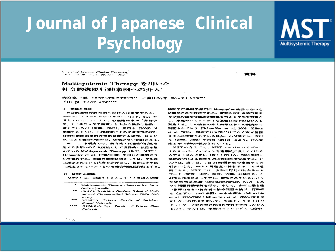### **Journal of Japanese Clinical Psychology**



Second of Japanese Clinical Psychology 2012 1-4.30 No. 5 pp. 757 762

#### Multisystemic Therapy を用いた 社会的逸脱行動事例への介入

大宮寮一郎 「#\*\*\*\*\*\* K\*\*\*\*\*\* /富田拓郎 Nea\*\* #\*\*\*\*\*\*\* 下田 僚 中央大学 文字都\*\*\*\*

#### 1 阿羅と自的

社会的逸脱行動事例への介入は重要である。 1995年にスクールカウンセラー (以下, SC) が 薄人されたことにより、心理障害薬が「非行少 年、や「非行少年予備策」と出会う機会は格段に 増えているが(伊藤、2002)、武田ら (2008) が、 抱摘するように、心理職者による児童生徒の反社 会的行動問題事例の援助に関する研究、および SCによる援助の報告は、依然少ない状況にある。

そこで、本研究では、暴力的・反社会的行動を 是する少年への介入技法として世界的に注目を集 めている Multisystemic Therapy (以下、MST: Henggeler et al, 1998/2008) を用いた事例につ いて報告する。本論の展開に当たっては、少年法 に規定されている内容を非行とし、厳密に少年法 に類定されていないものを社会的逸脱行動とする。

#### **II MET CHEEK**

MST とは、米国サウスカロライナ医科大学精

- Multisystemic Therapy Intervention for a deviant juvenile
- OMIYA. Sonichivo: Graduate School of Medical and Pharmaceutical Science, Chiha Unirx rxity
- $...$ TOMITA. Takuro: Focylin of Sociology. Kansai University
- \*\*\*\* SHIMODA. Ryo: Faculty of Letters, Clino University

神医学行動科学部門の Henggeler 教授らを甲心 に開発された技法である。深刻な反社会的行動や その他の深刻な臨床的問題を抱える少年を対象と し、家庭やコミュニティを基盤に集中的な介入を 実施する。この技法の介入効果は多くの研究から 実証されており (Schaeffer et al, 2005; Klietz et al. 2010). 現在では米国だけでなく欧米精固 を中心に実証されているほか、わが園では、吉川 ら (2008、2009) や大宮 (2010) により、介入実 感とその効果が報告されている。

MSTの介入では、MSTスーパーパイザーに よるスーパーヴィジョンを定期的に受けながら介 入プロトコルに従い (表1:吉川ら, 2008 参照), 家庭訪問による面接を週に数回程度実施する。介 入中は、週7日、1日24時間体制で家族からの 要求に応え、3~5 カ月程度で終結することが通 例である。MST では、少年の行動が社会ネット ワーク(家族、仲間、学校、近隣、地域社会)と の相互作用によって生じ、維持されているという 社会生態系理論 (Bronfenbrenner, 1979) に基 づく問題行動理解を行う。そして、少年に最も強 い影響力をもつ養育者と治療問題を続び、行動療 法(京下ら, 2007 参照) や家族療法 (Minuchin et al. 1996/2000; Minuchin et al. 2006/2010 参 照)などの技法を用いて、少年をとりまく社会 ネットワーク間の相互作用の変容を企図した介入 を行う。介入中は、家族のストレングス(長所)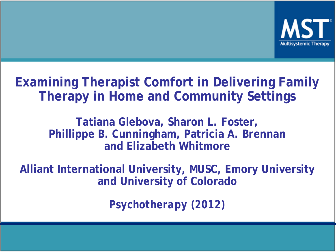

#### **Examining Therapist Comfort in Delivering Family Therapy in Home and Community Settings**

#### **Tatiana Glebova, Sharon L. Foster, Phillippe B. Cunningham, Patricia A. Brennan and Elizabeth Whitmore**

**Alliant International University, MUSC, Emory University and University of Colorado**

*Psychotherapy (2012)*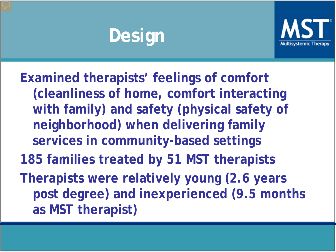# **Design**



**Examined therapists' feelings of comfort (cleanliness of home, comfort interacting with family) and safety (physical safety of neighborhood) when delivering family services in community-based settings 185 families treated by 51 MST therapists Therapists were relatively young (2.6 years post degree) and inexperienced (9.5 months as MST therapist)**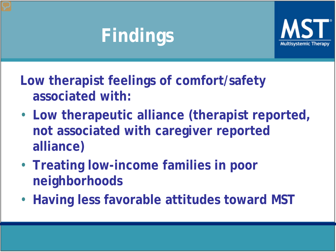# **Findings**



**Low therapist feelings of comfort/safety associated with:** 

- **Low therapeutic alliance (therapist reported, not associated with caregiver reported alliance)**
- **Treating low-income families in poor neighborhoods**
- **Having less favorable attitudes toward MST**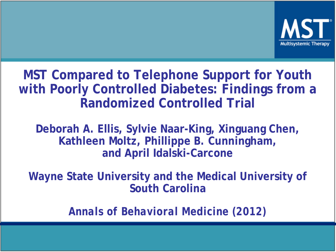

#### **MST Compared to Telephone Support for Youth with Poorly Controlled Diabetes: Findings from a Randomized Controlled Trial**

**Deborah A. Ellis, Sylvie Naar-King, Xinguang Chen, Kathleen Moltz, Phillippe B. Cunningham, and April Idalski-Carcone**

**Wayne State University and the Medical University of South Carolina**

*Annals of Behavioral Medicine (2012)*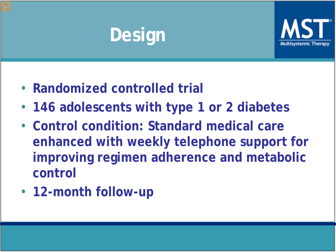# **Design**



- **Randomized controlled trial**
- **146 adolescents with type 1 or 2 diabetes**
- **Control condition: Standard medical care enhanced with weekly telephone support for improving regimen adherence and metabolic control**
- **12-month follow-up**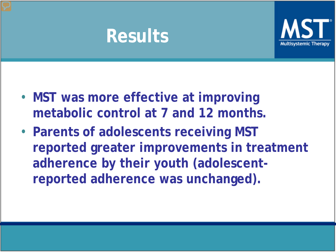### **Results**



- **MST was more effective at improving metabolic control at 7 and 12 months.**
- **Parents of adolescents receiving MST reported greater improvements in treatment adherence by their youth (adolescentreported adherence was unchanged).**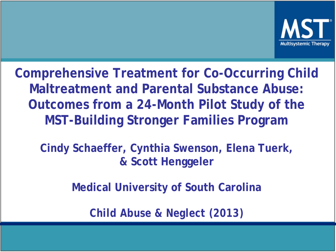

**Comprehensive Treatment for Co-Occurring Child Maltreatment and Parental Substance Abuse: Outcomes from a 24-Month Pilot Study of the MST-Building Stronger Families Program**

**Cindy Schaeffer, Cynthia Swenson, Elena Tuerk, & Scott Henggeler**

**Medical University of South Carolina**

*Child Abuse & Neglect (2013)*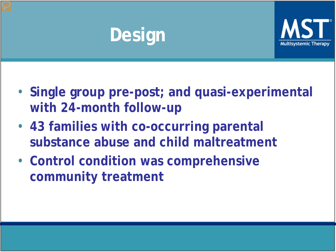# **Design**



- **Single group pre-post; and quasi-experimental with 24-month follow-up**
- **43 families with co-occurring parental substance abuse and child maltreatment**
- **Control condition was comprehensive community treatment**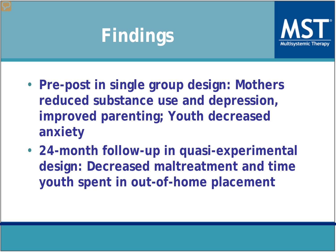# **Findings**



- **Pre-post in single group design: Mothers reduced substance use and depression, improved parenting; Youth decreased anxiety**
- **24-month follow-up in quasi-experimental design: Decreased maltreatment and time youth spent in out-of-home placement**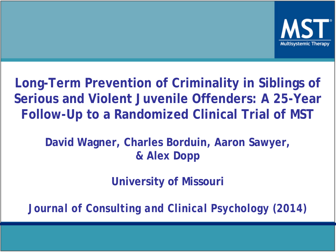

**Long-Term Prevention of Criminality in Siblings of Serious and Violent Juvenile Offenders: A 25-Year Follow-Up to a Randomized Clinical Trial of MST**

**David Wagner, Charles Borduin, Aaron Sawyer, & Alex Dopp**

**University of Missouri**

*Journal of Consulting and Clinical Psychology (2014)*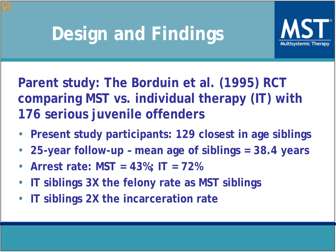# **Design and Findings**



**Parent study: The Borduin et al. (1995) RCT comparing MST vs. individual therapy (IT) with 176 serious juvenile offenders**

- **Present study participants: 129 closest in age siblings**
- **25-year follow-up – mean age of siblings = 38.4 years**
- **Arrest rate: MST = 43%; IT = 72%**
- **IT siblings 3X the felony rate as MST siblings**
- **IT siblings 2X the incarceration rate**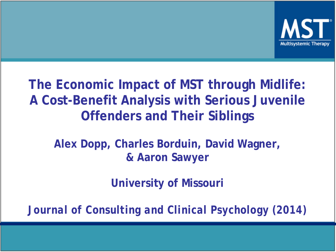

#### **The Economic Impact of MST through Midlife: A Cost-Benefit Analysis with Serious Juvenile Offenders and Their Siblings**

**Alex Dopp, Charles Borduin, David Wagner, & Aaron Sawyer**

**University of Missouri**

*Journal of Consulting and Clinical Psychology (2014)*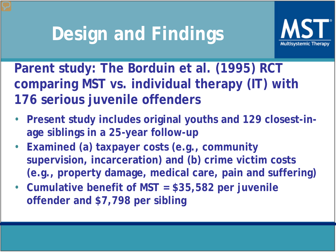## **Design and Findings**



**Parent study: The Borduin et al. (1995) RCT comparing MST vs. individual therapy (IT) with 176 serious juvenile offenders**

- **Present study includes original youths and 129 closest-inage siblings in a 25-year follow-up**
- **Examined (a) taxpayer costs (e.g., community supervision, incarceration) and (b) crime victim costs (e.g., property damage, medical care, pain and suffering)**
- **Cumulative benefit of MST = \$35,582 per juvenile offender and \$7,798 per sibling**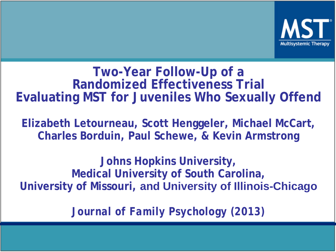

#### **Two-Year Follow-Up of a Randomized Effectiveness Trial Evaluating MST for Juveniles Who Sexually Offend**

**Elizabeth Letourneau, Scott Henggeler, Michael McCart, Charles Borduin, Paul Schewe, & Kevin Armstrong**

**Johns Hopkins University, Medical University of South Carolina, University of Missouri, and University of Illinois-Chicago**

*Journal of Family Psychology (2013)*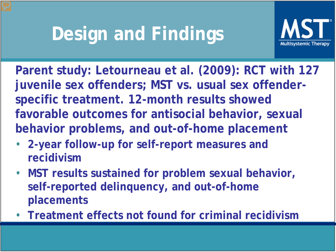# **Design and Findings**



**Parent study: Letourneau et al. (2009): RCT with 127 juvenile sex offenders; MST vs. usual sex offenderspecific treatment. 12-month results showed favorable outcomes for antisocial behavior, sexual behavior problems, and out-of-home placement**

- **2-year follow-up for self-report measures and recidivism**
- **MST results sustained for problem sexual behavior, self-reported delinquency, and out-of-home placements**
- **Treatment effects not found for criminal recidivism**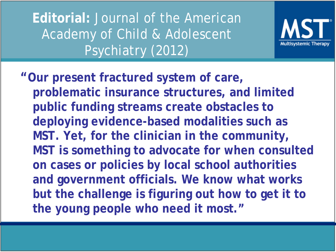**Editorial:** Journal of the American Academy of Child & Adolescent Psychiatry (2012)



**"Our present fractured system of care, problematic insurance structures, and limited public funding streams create obstacles to deploying evidence-based modalities such as MST. Yet, for the clinician in the community, MST is something to advocate for when consulted on cases or policies by local school authorities and government officials. We know what works but the challenge is figuring out how to get it to the young people who need it most."**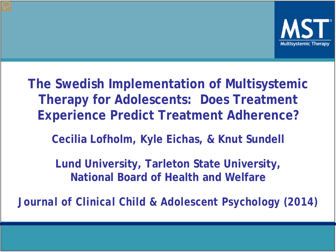

**The Swedish Implementation of Multisystemic Therapy for Adolescents: Does Treatment Experience Predict Treatment Adherence?**

**Cecilia Lofholm, Kyle Eichas, & Knut Sundell**

**Lund University, Tarleton State University, National Board of Health and Welfare**

*Journal of Clinical Child & Adolescent Psychology (2014)*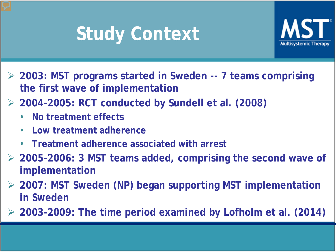# **Study Context**



- **2003: MST programs started in Sweden -- 7 teams comprising the first wave of implementation**
- **2004-2005: RCT conducted by Sundell et al. (2008)**
	- **No treatment effects**
	- **Low treatment adherence**
	- **Treatment adherence associated with arrest**
- **2005-2006: 3 MST teams added, comprising the second wave of implementation**
- **2007: MST Sweden (NP) began supporting MST implementation in Sweden**
- **2003-2009: The time period examined by Lofholm et al. (2014)**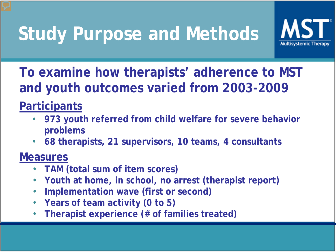# **Study Purpose and Methods**



**To examine how therapists' adherence to MST and youth outcomes varied from 2003-2009**

#### **Participants**

- **973 youth referred from child welfare for severe behavior problems**
- **68 therapists, 21 supervisors, 10 teams, 4 consultants**

#### **Measures**

- **TAM (total sum of item scores)**
- **Youth at home, in school, no arrest (therapist report)**
- **Implementation wave (first or second)**
- **Years of team activity (0 to 5)**
- **Therapist experience (# of families treated)**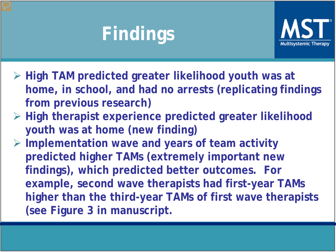# **Findings**



- **High TAM predicted greater likelihood youth was at home, in school, and had no arrests (replicating findings from previous research)**
- **High therapist experience predicted greater likelihood youth was at home (new finding)**
- **Implementation wave and years of team activity predicted higher TAMs (extremely important new findings), which predicted better outcomes. For example, second wave therapists had first-year TAMs higher than the third-year TAMs of first wave therapists (see Figure 3 in manuscript.**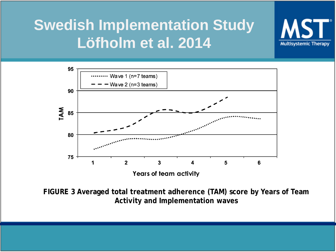#### **Swedish Implementation Study Löfholm et al. 2014**



**Multisystemic Therapy** 

**FIGURE 3 Averaged total treatment adherence (TAM) score by Years of Team Activity and Implementation waves**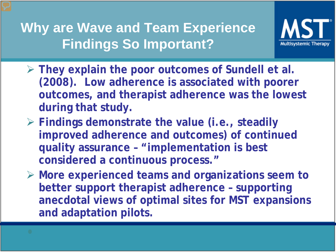**Why are Wave and Team Experience Findings So Important?**



- **They explain the poor outcomes of Sundell et al. (2008). Low adherence is associated with poorer outcomes, and therapist adherence was the lowest during that study.**
- **Findings demonstrate the value (i.e., steadily improved adherence and outcomes) of continued quality assurance – "implementation is best considered a continuous process."**
- **More experienced teams and organizations seem to better support therapist adherence – supporting anecdotal views of optimal sites for MST expansions and adaptation pilots.**